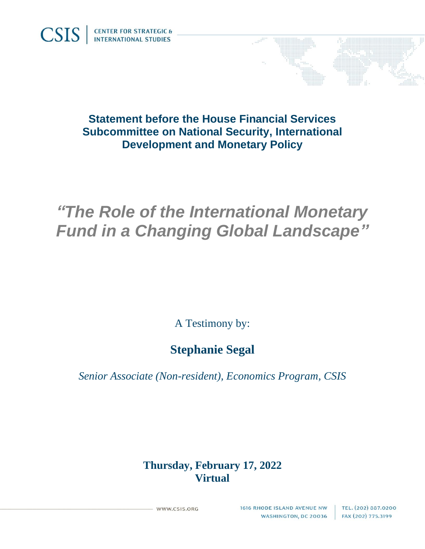

## **Statement before the House Financial Services Subcommittee on National Security, International Development and Monetary Policy**

# *"The Role of the International Monetary Fund in a Changing Global Landscape"*

A Testimony by:

# **Stephanie Segal**

*Senior Associate (Non-resident), Economics Program, CSIS*

### **Thursday, February 17, 2022 Virtual**

WWW.CSIS.ORG

1616 RHODE ISLAND AVENUE NW **WASHINGTON, DC 20036**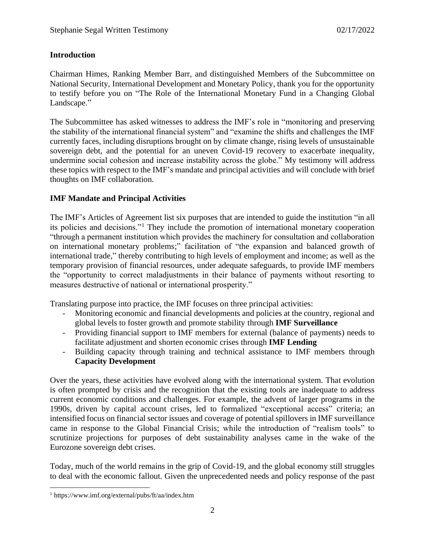#### **Introduction**

Chairman Himes, Ranking Member Barr, and distinguished Members of the Subcommittee on National Security, International Development and Monetary Policy, thank you for the opportunity to testify before you on "The Role of the International Monetary Fund in a Changing Global Landscape."

The Subcommittee has asked witnesses to address the IMF's role in "monitoring and preserving the stability of the international financial system" and "examine the shifts and challenges the IMF currently faces, including disruptions brought on by climate change, rising levels of unsustainable sovereign debt, and the potential for an uneven Covid-19 recovery to exacerbate inequality, undermine social cohesion and increase instability across the globe." My testimony will address these topics with respect to the IMF's mandate and principal activities and will conclude with brief thoughts on IMF collaboration.

#### **IMF Mandate and Principal Activities**

The IMF's Articles of Agreement list six purposes that are intended to guide the institution "in all its policies and decisions."<sup>1</sup> They include the promotion of international monetary cooperation "through a permanent institution which provides the machinery for consultation and collaboration on international monetary problems;" facilitation of "the expansion and balanced growth of international trade," thereby contributing to high levels of employment and income; as well as the temporary provision of financial resources, under adequate safeguards, to provide IMF members the "opportunity to correct maladjustments in their balance of payments without resorting to measures destructive of national or international prosperity."

Translating purpose into practice, the IMF focuses on three principal activities:

- Monitoring economic and financial developments and policies at the country, regional and global levels to foster growth and promote stability through **IMF Surveillance**
- Providing financial support to IMF members for external (balance of payments) needs to facilitate adjustment and shorten economic crises through **IMF Lending**
- Building capacity through training and technical assistance to IMF members through **Capacity Development**

Over the years, these activities have evolved along with the international system. That evolution is often prompted by crisis and the recognition that the existing tools are inadequate to address current economic conditions and challenges. For example, the advent of larger programs in the 1990s, driven by capital account crises, led to formalized "exceptional access" criteria; an intensified focus on financial sector issues and coverage of potential spillovers in IMF surveillance came in response to the Global Financial Crisis; while the introduction of "realism tools" to scrutinize projections for purposes of debt sustainability analyses came in the wake of the Eurozone sovereign debt crises.

Today, much of the world remains in the grip of Covid-19, and the global economy still struggles to deal with the economic fallout. Given the unprecedented needs and policy response of the past

<sup>1</sup> https://www.imf.org/external/pubs/ft/aa/index.htm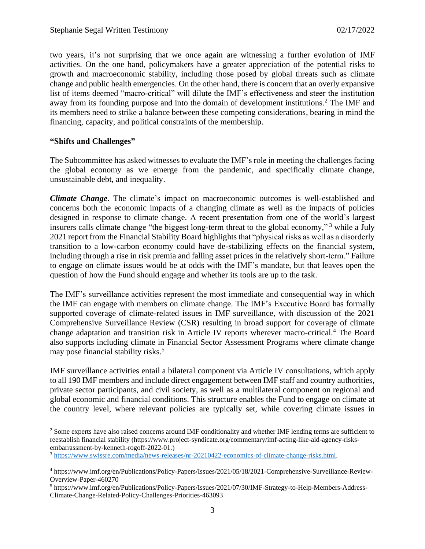two years, it's not surprising that we once again are witnessing a further evolution of IMF activities. On the one hand, policymakers have a greater appreciation of the potential risks to growth and macroeconomic stability, including those posed by global threats such as climate change and public health emergencies. On the other hand, there is concern that an overly expansive list of items deemed "macro-critical" will dilute the IMF's effectiveness and steer the institution away from its founding purpose and into the domain of development institutions. <sup>2</sup> The IMF and its members need to strike a balance between these competing considerations, bearing in mind the financing, capacity, and political constraints of the membership.

#### **"Shifts and Challenges"**

The Subcommittee has asked witnesses to evaluate the IMF's role in meeting the challenges facing the global economy as we emerge from the pandemic, and specifically climate change, unsustainable debt, and inequality.

*Climate Change*. The climate's impact on macroeconomic outcomes is well-established and concerns both the economic impacts of a changing climate as well as the impacts of policies designed in response to climate change. A recent presentation from one of the world's largest insurers calls climate change "the biggest long-term threat to the global economy," <sup>3</sup> while a July 2021 report from the Financial Stability Board highlights that "physical risks as well as a disorderly transition to a low-carbon economy could have de-stabilizing effects on the financial system, including through a rise in risk premia and falling asset prices in the relatively short-term." Failure to engage on climate issues would be at odds with the IMF's mandate, but that leaves open the question of how the Fund should engage and whether its tools are up to the task.

The IMF's surveillance activities represent the most immediate and consequential way in which the IMF can engage with members on climate change. The IMF's Executive Board has formally supported coverage of climate-related issues in IMF surveillance, with discussion of the 2021 Comprehensive Surveillance Review (CSR) resulting in broad support for coverage of climate change adaptation and transition risk in Article IV reports wherever macro-critical.<sup>4</sup> The Board also supports including climate in Financial Sector Assessment Programs where climate change may pose financial stability risks.<sup>5</sup>

IMF surveillance activities entail a bilateral component via Article IV consultations, which apply to all 190 IMF members and include direct engagement between IMF staff and country authorities, private sector participants, and civil society, as well as a multilateral component on regional and global economic and financial conditions. This structure enables the Fund to engage on climate at the country level, where relevant policies are typically set, while covering climate issues in

<sup>&</sup>lt;sup>2</sup> Some experts have also raised concerns around IMF conditionality and whether IMF lending terms are sufficient to reestablish financial stability (https://www.project-syndicate.org/commentary/imf-acting-like-aid-agency-risksembarrassment-by-kenneth-rogoff-2022-01.)

<sup>3</sup> [https://www.swissre.com/media/news-releases/nr-20210422-economics-of-climate-change-risks.html.](https://www.swissre.com/media/news-releases/nr-20210422-economics-of-climate-change-risks.html)

<sup>4</sup> https://www.imf.org/en/Publications/Policy-Papers/Issues/2021/05/18/2021-Comprehensive-Surveillance-Review-Overview-Paper-460270

<sup>5</sup> https://www.imf.org/en/Publications/Policy-Papers/Issues/2021/07/30/IMF-Strategy-to-Help-Members-Address-Climate-Change-Related-Policy-Challenges-Priorities-463093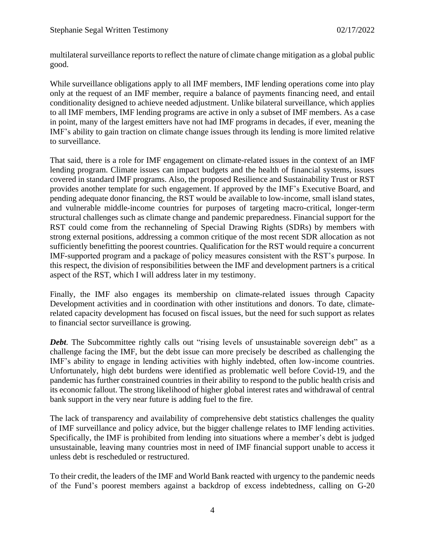multilateral surveillance reports to reflect the nature of climate change mitigation as a global public good.

While surveillance obligations apply to all IMF members, IMF lending operations come into play only at the request of an IMF member, require a balance of payments financing need, and entail conditionality designed to achieve needed adjustment. Unlike bilateral surveillance, which applies to all IMF members, IMF lending programs are active in only a subset of IMF members. As a case in point, many of the largest emitters have not had IMF programs in decades, if ever, meaning the IMF's ability to gain traction on climate change issues through its lending is more limited relative to surveillance.

That said, there is a role for IMF engagement on climate-related issues in the context of an IMF lending program. Climate issues can impact budgets and the health of financial systems, issues covered in standard IMF programs. Also, the proposed Resilience and Sustainability Trust or RST provides another template for such engagement. If approved by the IMF's Executive Board, and pending adequate donor financing, the RST would be available to low-income, small island states, and vulnerable middle-income countries for purposes of targeting macro-critical, longer-term structural challenges such as climate change and pandemic preparedness. Financial support for the RST could come from the rechanneling of Special Drawing Rights (SDRs) by members with strong external positions, addressing a common critique of the most recent SDR allocation as not sufficiently benefitting the poorest countries. Qualification for the RST would require a concurrent IMF-supported program and a package of policy measures consistent with the RST's purpose. In this respect, the division of responsibilities between the IMF and development partners is a critical aspect of the RST, which I will address later in my testimony.

Finally, the IMF also engages its membership on climate-related issues through Capacity Development activities and in coordination with other institutions and donors. To date, climaterelated capacity development has focused on fiscal issues, but the need for such support as relates to financial sector surveillance is growing.

**Debt.** The Subcommittee rightly calls out "rising levels of unsustainable sovereign debt" as a challenge facing the IMF, but the debt issue can more precisely be described as challenging the IMF's ability to engage in lending activities with highly indebted, often low-income countries. Unfortunately, high debt burdens were identified as problematic well before Covid-19, and the pandemic has further constrained countries in their ability to respond to the public health crisis and its economic fallout. The strong likelihood of higher global interest rates and withdrawal of central bank support in the very near future is adding fuel to the fire.

The lack of transparency and availability of comprehensive debt statistics challenges the quality of IMF surveillance and policy advice, but the bigger challenge relates to IMF lending activities. Specifically, the IMF is prohibited from lending into situations where a member's debt is judged unsustainable, leaving many countries most in need of IMF financial support unable to access it unless debt is rescheduled or restructured.

To their credit, the leaders of the IMF and World Bank reacted with urgency to the pandemic needs of the Fund's poorest members against a backdrop of excess indebtedness, calling on G-20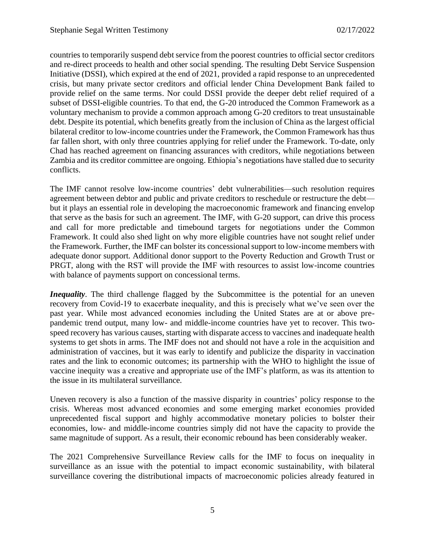countries to temporarily suspend debt service from the poorest countries to official sector creditors and re-direct proceeds to health and other social spending. The resulting Debt Service Suspension Initiative (DSSI), which expired at the end of 2021, provided a rapid response to an unprecedented crisis, but many private sector creditors and official lender China Development Bank failed to provide relief on the same terms. Nor could DSSI provide the deeper debt relief required of a subset of DSSI-eligible countries. To that end, the G-20 introduced the Common Framework as a voluntary mechanism to provide a common approach among G-20 creditors to treat unsustainable debt. Despite its potential, which benefits greatly from the inclusion of China as the largest official bilateral creditor to low-income countries under the Framework, the Common Framework has thus far fallen short, with only three countries applying for relief under the Framework. To-date, only Chad has reached agreement on financing assurances with creditors, while negotiations between Zambia and its creditor committee are ongoing. Ethiopia's negotiations have stalled due to security conflicts.

The IMF cannot resolve low-income countries' debt vulnerabilities—such resolution requires agreement between debtor and public and private creditors to reschedule or restructure the debt but it plays an essential role in developing the macroeconomic framework and financing envelop that serve as the basis for such an agreement. The IMF, with G-20 support, can drive this process and call for more predictable and timebound targets for negotiations under the Common Framework. It could also shed light on why more eligible countries have not sought relief under the Framework. Further, the IMF can bolster its concessional support to low-income members with adequate donor support. Additional donor support to the Poverty Reduction and Growth Trust or PRGT, along with the RST will provide the IMF with resources to assist low-income countries with balance of payments support on concessional terms.

*Inequality*. The third challenge flagged by the Subcommittee is the potential for an uneven recovery from Covid-19 to exacerbate inequality, and this is precisely what we've seen over the past year. While most advanced economies including the United States are at or above prepandemic trend output, many low- and middle-income countries have yet to recover. This twospeed recovery has various causes, starting with disparate access to vaccines and inadequate health systems to get shots in arms. The IMF does not and should not have a role in the acquisition and administration of vaccines, but it was early to identify and publicize the disparity in vaccination rates and the link to economic outcomes; its partnership with the WHO to highlight the issue of vaccine inequity was a creative and appropriate use of the IMF's platform, as was its attention to the issue in its multilateral surveillance.

Uneven recovery is also a function of the massive disparity in countries' policy response to the crisis. Whereas most advanced economies and some emerging market economies provided unprecedented fiscal support and highly accommodative monetary policies to bolster their economies, low- and middle-income countries simply did not have the capacity to provide the same magnitude of support. As a result, their economic rebound has been considerably weaker.

The 2021 Comprehensive Surveillance Review calls for the IMF to focus on inequality in surveillance as an issue with the potential to impact economic sustainability, with bilateral surveillance covering the distributional impacts of macroeconomic policies already featured in